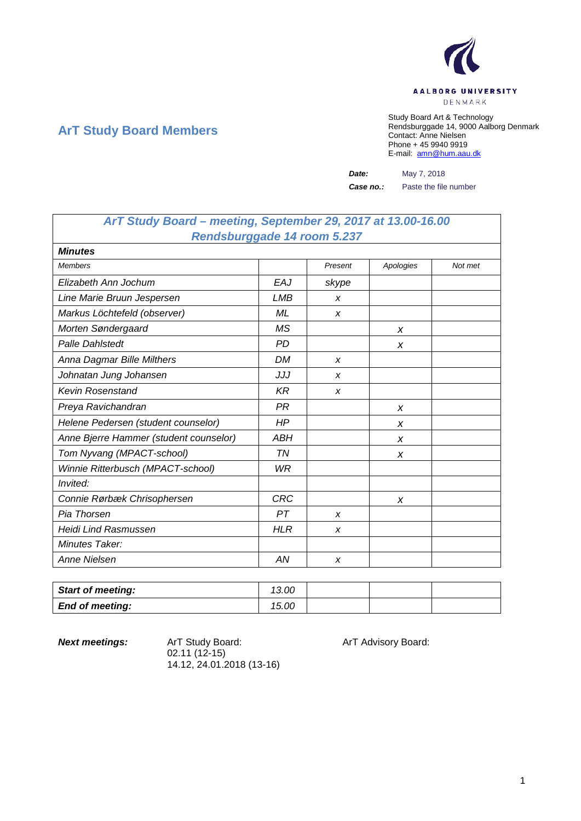

## **ArT Study Board Members**

Study Board Art & Technology Rendsburggade 14, 9000 Aalborg Denmark Contact: Anne Nielsen Phone + 45 9940 9919 E-mail: [amn@hum.aau.dk](mailto:amn@hum.aau.dk)

*Date:* May 7, 2018

*Case no.:* Paste the file number

| ArT Study Board - meeting, September 29, 2017 at 13.00-16.00 |            |                  |           |         |  |
|--------------------------------------------------------------|------------|------------------|-----------|---------|--|
| Rendsburggade 14 room 5.237                                  |            |                  |           |         |  |
| <b>Minutes</b>                                               |            |                  |           |         |  |
| <b>Members</b>                                               |            | Present          | Apologies | Not met |  |
| Elizabeth Ann Jochum                                         | EAJ        | skype            |           |         |  |
| Line Marie Bruun Jespersen                                   | LMB        | $\boldsymbol{x}$ |           |         |  |
| Markus Löchtefeld (observer)                                 | ML         | X                |           |         |  |
| Morten Søndergaard                                           | MS         |                  | X         |         |  |
| <b>Palle Dahlstedt</b>                                       | <b>PD</b>  |                  | X         |         |  |
| Anna Dagmar Bille Milthers                                   | <b>DM</b>  | X                |           |         |  |
| Johnatan Jung Johansen                                       | JJJ        | X                |           |         |  |
| <b>Kevin Rosenstand</b>                                      | KR         | $\boldsymbol{x}$ |           |         |  |
| Preya Ravichandran                                           | PR         |                  | X         |         |  |
| Helene Pedersen (student counselor)                          | HP         |                  | X         |         |  |
| Anne Bjerre Hammer (student counselor)                       | ABH        |                  | X         |         |  |
| Tom Nyvang (MPACT-school)                                    | ΤN         |                  | X         |         |  |
| Winnie Ritterbusch (MPACT-school)                            | WR         |                  |           |         |  |
| Invited:                                                     |            |                  |           |         |  |
| Connie Rørbæk Chrisophersen                                  | <b>CRC</b> |                  | X         |         |  |
| Pia Thorsen                                                  | PТ         | X                |           |         |  |
| <b>Heidi Lind Rasmussen</b>                                  | <b>HLR</b> | X                |           |         |  |
| <b>Minutes Taker:</b>                                        |            |                  |           |         |  |
| <b>Anne Nielsen</b>                                          | AN         | X                |           |         |  |

| <b>Start of meeting:</b> | 13.00 |  |  |
|--------------------------|-------|--|--|
| <b>End of meeting:</b>   | 15.00 |  |  |

**Next meetings:** ArT Study Board: ArT Advisory Board: 02.11 (12-15) 14.12, 24.01.2018 (13-16)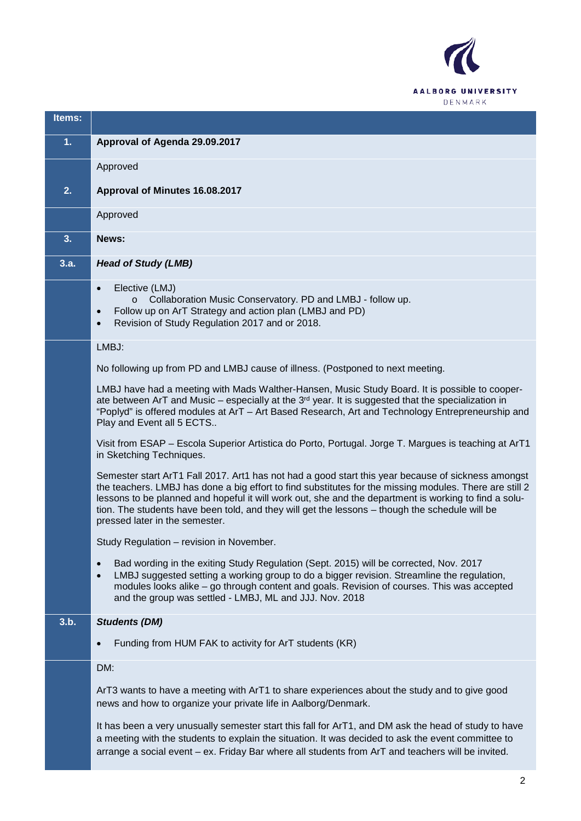

| Items: |                                                                                                                                                                                                                                                                                                                                                                                                                                                            |
|--------|------------------------------------------------------------------------------------------------------------------------------------------------------------------------------------------------------------------------------------------------------------------------------------------------------------------------------------------------------------------------------------------------------------------------------------------------------------|
| 1.     | Approval of Agenda 29.09.2017                                                                                                                                                                                                                                                                                                                                                                                                                              |
|        | Approved                                                                                                                                                                                                                                                                                                                                                                                                                                                   |
| 2.     | Approval of Minutes 16.08.2017                                                                                                                                                                                                                                                                                                                                                                                                                             |
|        | Approved                                                                                                                                                                                                                                                                                                                                                                                                                                                   |
| 3.     | News:                                                                                                                                                                                                                                                                                                                                                                                                                                                      |
| 3.a.   | <b>Head of Study (LMB)</b>                                                                                                                                                                                                                                                                                                                                                                                                                                 |
|        | Elective (LMJ)<br>$\bullet$<br>Collaboration Music Conservatory. PD and LMBJ - follow up.<br>Follow up on ArT Strategy and action plan (LMBJ and PD)<br>$\bullet$<br>Revision of Study Regulation 2017 and or 2018.<br>$\bullet$                                                                                                                                                                                                                           |
|        | LMBJ:                                                                                                                                                                                                                                                                                                                                                                                                                                                      |
|        | No following up from PD and LMBJ cause of illness. (Postponed to next meeting.                                                                                                                                                                                                                                                                                                                                                                             |
|        | LMBJ have had a meeting with Mads Walther-Hansen, Music Study Board. It is possible to cooper-<br>ate between ArT and Music – especially at the $3rd$ year. It is suggested that the specialization in<br>"Poplyd" is offered modules at ArT - Art Based Research, Art and Technology Entrepreneurship and<br>Play and Event all 5 ECTS                                                                                                                    |
|        | Visit from ESAP - Escola Superior Artistica do Porto, Portugal. Jorge T. Margues is teaching at ArT1<br>in Sketching Techniques.                                                                                                                                                                                                                                                                                                                           |
|        | Semester start ArT1 Fall 2017. Art1 has not had a good start this year because of sickness amongst<br>the teachers. LMBJ has done a big effort to find substitutes for the missing modules. There are still 2<br>lessons to be planned and hopeful it will work out, she and the department is working to find a solu-<br>tion. The students have been told, and they will get the lessons - though the schedule will be<br>pressed later in the semester. |
|        | Study Regulation - revision in November.                                                                                                                                                                                                                                                                                                                                                                                                                   |
|        | Bad wording in the exiting Study Regulation (Sept. 2015) will be corrected, Nov. 2017<br>$\bullet$<br>LMBJ suggested setting a working group to do a bigger revision. Streamline the regulation,<br>$\bullet$<br>modules looks alike - go through content and goals. Revision of courses. This was accepted<br>and the group was settled - LMBJ, ML and JJJ. Nov. 2018                                                                                     |
| 3.b.   | <b>Students (DM)</b>                                                                                                                                                                                                                                                                                                                                                                                                                                       |
|        | Funding from HUM FAK to activity for ArT students (KR)<br>$\bullet$                                                                                                                                                                                                                                                                                                                                                                                        |
|        | DM:                                                                                                                                                                                                                                                                                                                                                                                                                                                        |
|        | ArT3 wants to have a meeting with ArT1 to share experiences about the study and to give good<br>news and how to organize your private life in Aalborg/Denmark.                                                                                                                                                                                                                                                                                             |
|        | It has been a very unusually semester start this fall for ArT1, and DM ask the head of study to have<br>a meeting with the students to explain the situation. It was decided to ask the event committee to<br>arrange a social event - ex. Friday Bar where all students from ArT and teachers will be invited.                                                                                                                                            |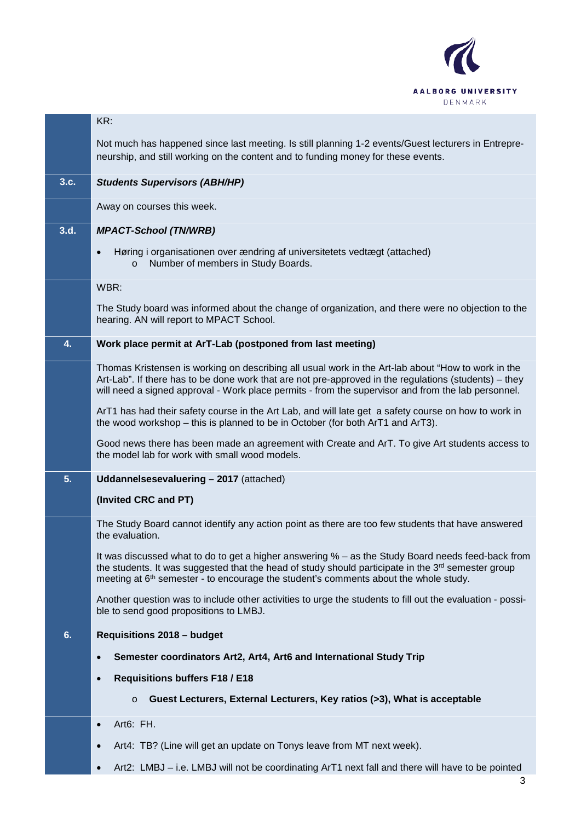

|      | KR:                                                                                                                                                                                                                                                                                                               |
|------|-------------------------------------------------------------------------------------------------------------------------------------------------------------------------------------------------------------------------------------------------------------------------------------------------------------------|
|      | Not much has happened since last meeting. Is still planning 1-2 events/Guest lecturers in Entrepre-<br>neurship, and still working on the content and to funding money for these events.                                                                                                                          |
| 3.c. | <b>Students Supervisors (ABH/HP)</b>                                                                                                                                                                                                                                                                              |
|      | Away on courses this week.                                                                                                                                                                                                                                                                                        |
| 3.d. | <b>MPACT-School (TN/WRB)</b>                                                                                                                                                                                                                                                                                      |
|      | Høring i organisationen over ændring af universitetets vedtægt (attached)<br>$\bullet$<br>Number of members in Study Boards.<br>$\circ$                                                                                                                                                                           |
|      | WBR:                                                                                                                                                                                                                                                                                                              |
|      | The Study board was informed about the change of organization, and there were no objection to the<br>hearing. AN will report to MPACT School.                                                                                                                                                                     |
| 4.   | Work place permit at ArT-Lab (postponed from last meeting)                                                                                                                                                                                                                                                        |
|      | Thomas Kristensen is working on describing all usual work in the Art-lab about "How to work in the<br>Art-Lab". If there has to be done work that are not pre-approved in the regulations (students) – they<br>will need a signed approval - Work place permits - from the supervisor and from the lab personnel. |
|      | ArT1 has had their safety course in the Art Lab, and will late get a safety course on how to work in<br>the wood workshop – this is planned to be in October (for both ArT1 and ArT3).                                                                                                                            |
|      | Good news there has been made an agreement with Create and ArT. To give Art students access to<br>the model lab for work with small wood models.                                                                                                                                                                  |
| 5.   | Uddannelsesevaluering - 2017 (attached)                                                                                                                                                                                                                                                                           |
|      | (Invited CRC and PT)                                                                                                                                                                                                                                                                                              |
|      | The Study Board cannot identify any action point as there are too few students that have answered<br>the evaluation.                                                                                                                                                                                              |
|      | It was discussed what to do to get a higher answering % – as the Study Board needs feed-back from<br>the students. It was suggested that the head of study should participate in the 3rd semester group<br>meeting at 6 <sup>th</sup> semester - to encourage the student's comments about the whole study.       |
|      | Another question was to include other activities to urge the students to fill out the evaluation - possi-<br>ble to send good propositions to LMBJ.                                                                                                                                                               |
| 6.   | <b>Requisitions 2018 - budget</b>                                                                                                                                                                                                                                                                                 |
|      | Semester coordinators Art2, Art4, Art6 and International Study Trip<br>$\bullet$                                                                                                                                                                                                                                  |
|      | <b>Requisitions buffers F18 / E18</b><br>$\bullet$                                                                                                                                                                                                                                                                |
|      | Guest Lecturers, External Lecturers, Key ratios (>3), What is acceptable<br>$\circ$                                                                                                                                                                                                                               |
|      | Art6: FH.                                                                                                                                                                                                                                                                                                         |
|      | Art4: TB? (Line will get an update on Tonys leave from MT next week).                                                                                                                                                                                                                                             |
|      | Art2: LMBJ - i.e. LMBJ will not be coordinating ArT1 next fall and there will have to be pointed                                                                                                                                                                                                                  |